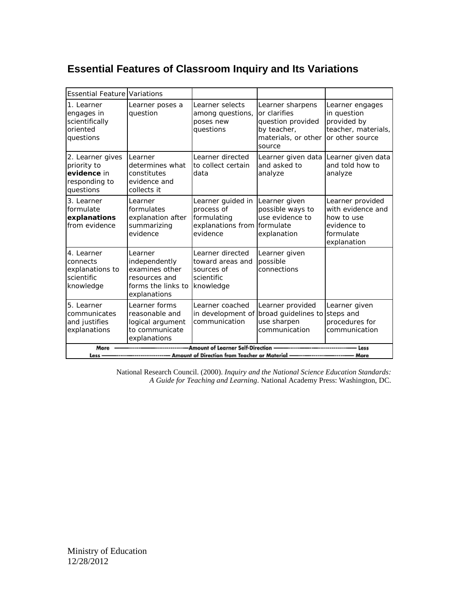# **Essential Features of Classroom Inquiry and Its Variations**

| <b>Essential Feature Variations</b>                                                                                                         |                                                                                                   |                                                                                 |                                                                                                       |                                                                                                |
|---------------------------------------------------------------------------------------------------------------------------------------------|---------------------------------------------------------------------------------------------------|---------------------------------------------------------------------------------|-------------------------------------------------------------------------------------------------------|------------------------------------------------------------------------------------------------|
| 1. Learner<br>engages in<br>scientifically<br>oriented<br>questions                                                                         | Learner poses a<br>question                                                                       | Learner selects<br>among questions,<br>poses new<br>questions                   | Learner sharpens<br>or clarifies<br>question provided<br>by teacher,<br>materials, or other<br>source | Learner engages<br>in question<br>provided by<br>teacher, materials,<br>or other source        |
| 2. Learner gives<br>priority to<br>evidence in<br>responding to<br>questions                                                                | Learner<br>determines what<br>constitutes<br>evidence and<br>collects it                          | Learner directed<br>to collect certain<br>data                                  | Learner given data<br>and asked to<br>analyze                                                         | Learner given data<br>and told how to<br>analyze                                               |
| 3. Learner<br>formulate<br>explanations<br>from evidence                                                                                    | Learner<br>formulates<br>explanation after<br>summarizing<br>evidence                             | Learner guided in<br>process of<br>formulating<br>explanations from<br>evidence | Learner given<br>possible ways to<br>use evidence to<br>formulate<br>explanation                      | Learner provided<br>with evidence and<br>how to use<br>evidence to<br>formulate<br>explanation |
| 4. Learner<br>connects<br>explanations to<br>scientific<br>knowledge                                                                        | Learner<br>independently<br>examines other<br>resources and<br>forms the links to<br>explanations | Learner directed<br>toward areas and<br>sources of<br>scientific<br>knowledge   | Learner given<br>possible<br>connections                                                              |                                                                                                |
| 5. Learner<br>communicates<br>and justifies<br>explanations                                                                                 | Learner forms<br>reasonable and<br>logical argument<br>to communicate<br>explanations             | Learner coached<br>in development of<br>communication                           | Learner provided<br>broad guidelines to<br>use sharpen<br>communication                               | Learner given<br>steps and<br>procedures for<br>communication                                  |
| -Amount of Learner Self-Direction<br>More<br>Less<br>---------------------- Amount of Direction from Teacher or Material –<br>More<br>Less- |                                                                                                   |                                                                                 |                                                                                                       |                                                                                                |

National Research Council. (2000). *Inquiry and the National Science Education Standards: A Guide for Teaching and Learning*. National Academy Press: Washington, DC.